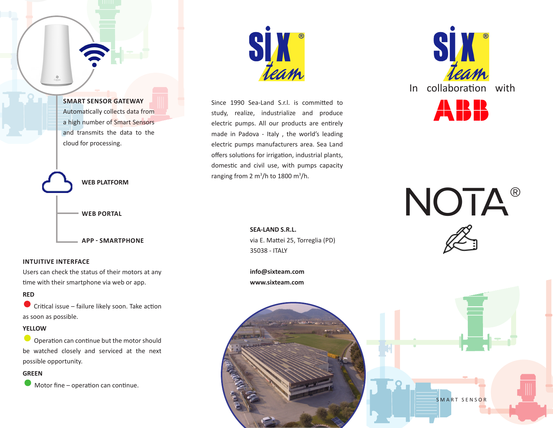

### **INTUITIVE INTERFACE**

Users can check the status of their motors at any time with their smartphone via web or app.

### **RED**

 $\bullet$ Critical issue – failure likely soon. Take action as soon as possible.

## **YELLOW**

 $\bullet$ Operation can continue but the motor should be watched closely and serviced at the next possible opportunity.

# **GREEN**

Motor fine – operation can continue.



Since 1990 Sea-Land S.r.l. is committed to study, realize, industrialize and produce electric pumps. All our products are entirely made in Padova - Italy , the world's leading electric pumps manufacturers area. Sea Land offers solutions for irrigation, industrial plants, domestic and civil use, with pumps capacity ranging from 2 m<sup>3</sup>/h to 1800 m<sup>3</sup>/h.

> **SEA-LAND S.R.L.** via E. Mattei 25, Torreglia (PD) 35038 - ITALY

**info@sixteam.com www.sixteam.com**





NOTA®